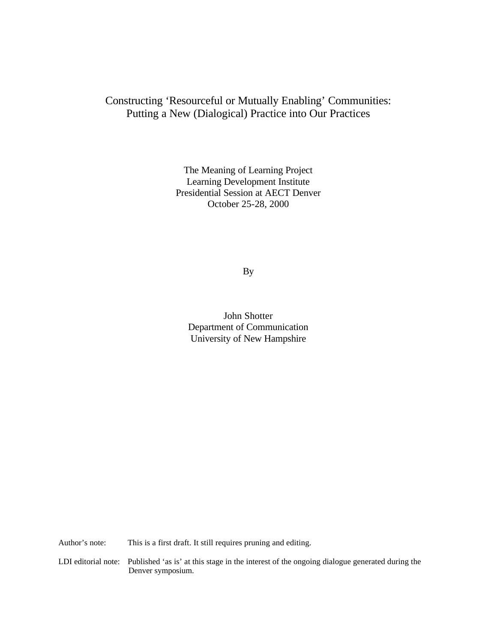# Constructing 'Resourceful or Mutually Enabling' Communities: Putting a New (Dialogical) Practice into Our Practices

The Meaning of Learning Project Learning Development Institute Presidential Session at AECT Denver October 25-28, 2000

By

John Shotter Department of Communication University of New Hampshire

Author's note: This is a first draft. It still requires pruning and editing.

LDI editorial note: Published 'as is' at this stage in the interest of the ongoing dialogue generated during the Denver symposium.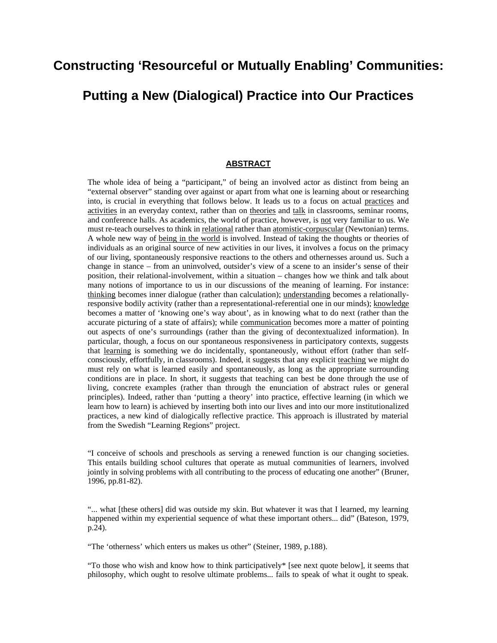# **Constructing 'Resourceful or Mutually Enabling' Communities:**

# **Putting a New (Dialogical) Practice into Our Practices**

#### **ABSTRACT**

The whole idea of being a "participant," of being an involved actor as distinct from being an "external observer" standing over against or apart from what one is learning about or researching into, is crucial in everything that follows below. It leads us to a focus on actual practices and activities in an everyday context, rather than on theories and talk in classrooms, seminar rooms, and conference halls. As academics, the world of practice, however, is not very familiar to us. We must re-teach ourselves to think in relational rather than atomistic-corpuscular (Newtonian) terms. A whole new way of being in the world is involved. Instead of taking the thoughts or theories of individuals as an original source of new activities in our lives, it involves a focus on the primacy of our living, spontaneously responsive reactions to the others and othernesses around us. Such a change in stance – from an uninvolved, outsider's view of a scene to an insider's sense of their position, their relational-involvement, within a situation – changes how we think and talk about many notions of importance to us in our discussions of the meaning of learning. For instance: thinking becomes inner dialogue (rather than calculation); understanding becomes a relationallyresponsive bodily activity (rather than a representational-referential one in our minds); knowledge becomes a matter of 'knowing one's way about', as in knowing what to do next (rather than the accurate picturing of a state of affairs); while communication becomes more a matter of pointing out aspects of one's surroundings (rather than the giving of decontextualized information). In particular, though, a focus on our spontaneous responsiveness in participatory contexts, suggests that learning is something we do incidentally, spontaneously, without effort (rather than selfconsciously, effortfully, in classrooms). Indeed, it suggests that any explicit teaching we might do must rely on what is learned easily and spontaneously, as long as the appropriate surrounding conditions are in place. In short, it suggests that teaching can best be done through the use of living, concrete examples (rather than through the enunciation of abstract rules or general principles). Indeed, rather than 'putting a theory' into practice, effective learning (in which we learn how to learn) is achieved by inserting both into our lives and into our more institutionalized practices, a new kind of dialogically reflective practice. This approach is illustrated by material from the Swedish "Learning Regions" project.

"I conceive of schools and preschools as serving a renewed function is our changing societies. This entails building school cultures that operate as mutual communities of learners, involved jointly in solving problems with all contributing to the process of educating one another" (Bruner, 1996, pp.81-82).

"... what [these others] did was outside my skin. But whatever it was that I learned, my learning happened within my experiential sequence of what these important others... did" (Bateson, 1979, p.24).

"The 'otherness' which enters us makes us other" (Steiner, 1989, p.188).

"To those who wish and know how to think participatively\* [see next quote below], it seems that philosophy, which ought to resolve ultimate problems... fails to speak of what it ought to speak.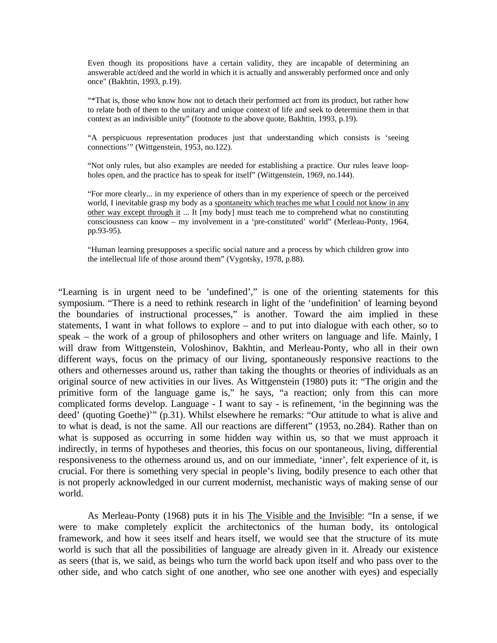Even though its propositions have a certain validity, they are incapable of determining an answerable act/deed and the world in which it is actually and answerably performed once and only once" (Bakhtin, 1993, p.19).

"\*That is, those who know how not to detach their performed act from its product, but rather how to relate both of them to the unitary and unique context of life and seek to determine them in that context as an indivisible unity" (footnote to the above quote, Bakhtin, 1993, p.19).

"A perspicuous representation produces just that understanding which consists is 'seeing connections'" (Wittgenstein, 1953, no.122).

"Not only rules, but also examples are needed for establishing a practice. Our rules leave loopholes open, and the practice has to speak for itself" (Wittgenstein, 1969, no.144).

"For more clearly... in my experience of others than in my experience of speech or the perceived world, I inevitable grasp my body as a spontaneity which teaches me what I could not know in any other way except through it ... It [my body] must teach me to comprehend what no constituting consciousness can know – my involvement in a 'pre-constituted' world" (Merleau-Ponty, 1964, pp.93-95).

"Human learning presupposes a specific social nature and a process by which children grow into the intellectual life of those around them" (Vygotsky, 1978, p.88).

"Learning is in urgent need to be 'undefined'," is one of the orienting statements for this symposium. "There is a need to rethink research in light of the 'undefinition' of learning beyond the boundaries of instructional processes," is another. Toward the aim implied in these statements, I want in what follows to explore – and to put into dialogue with each other, so to speak – the work of a group of philosophers and other writers on language and life. Mainly, I will draw from Wittgenstein, Voloshinov, Bakhtin, and Merleau-Ponty, who all in their own different ways, focus on the primacy of our living, spontaneously responsive reactions to the others and othernesses around us, rather than taking the thoughts or theories of individuals as an original source of new activities in our lives. As Wittgenstein (1980) puts it: "The origin and the primitive form of the language game is," he says, "a reaction; only from this can more complicated forms develop. Language - I want to say - is refinement, 'in the beginning was the deed' (quoting Goethe)'" (p.31). Whilst elsewhere he remarks: "Our attitude to what is alive and to what is dead, is not the same. All our reactions are different" (1953, no.284). Rather than on what is supposed as occurring in some hidden way within us, so that we must approach it indirectly, in terms of hypotheses and theories, this focus on our spontaneous, living, differential responsiveness to the otherness around us, and on our immediate, 'inner', felt experience of it, is crucial. For there is something very special in people's living, bodily presence to each other that is not properly acknowledged in our current modernist, mechanistic ways of making sense of our world.

As Merleau-Ponty (1968) puts it in his The Visible and the Invisible: "In a sense, if we were to make completely explicit the architectonics of the human body, its ontological framework, and how it sees itself and hears itself, we would see that the structure of its mute world is such that all the possibilities of language are already given in it. Already our existence as seers (that is, we said, as beings who turn the world back upon itself and who pass over to the other side, and who catch sight of one another, who see one another with eyes) and especially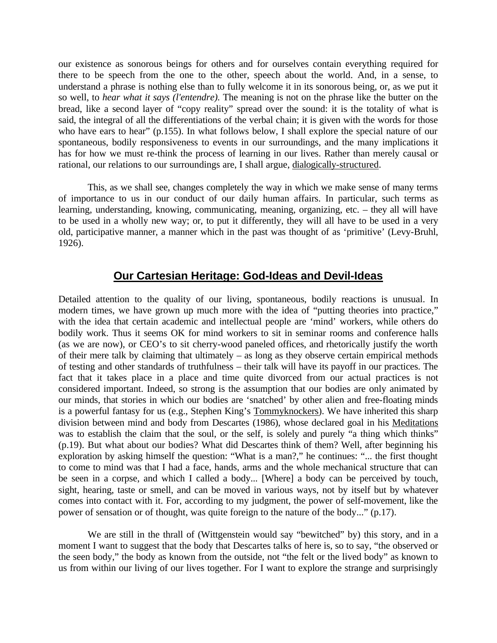our existence as sonorous beings for others and for ourselves contain everything required for there to be speech from the one to the other, speech about the world. And, in a sense, to understand a phrase is nothing else than to fully welcome it in its sonorous being, or, as we put it so well, to *hear what it says (l'entendre).* The meaning is not on the phrase like the butter on the bread, like a second layer of "copy reality" spread over the sound: it is the totality of what is said, the integral of all the differentiations of the verbal chain; it is given with the words for those who have ears to hear" (p.155). In what follows below, I shall explore the special nature of our spontaneous, bodily responsiveness to events in our surroundings, and the many implications it has for how we must re-think the process of learning in our lives. Rather than merely causal or rational, our relations to our surroundings are, I shall argue, dialogically-structured.

This, as we shall see, changes completely the way in which we make sense of many terms of importance to us in our conduct of our daily human affairs. In particular, such terms as learning, understanding, knowing, communicating, meaning, organizing, etc. – they all will have to be used in a wholly new way; or, to put it differently, they will all have to be used in a very old, participative manner, a manner which in the past was thought of as 'primitive' (Levy-Bruhl, 1926).

#### **Our Cartesian Heritage: God-Ideas and Devil-Ideas**

Detailed attention to the quality of our living, spontaneous, bodily reactions is unusual. In modern times, we have grown up much more with the idea of "putting theories into practice," with the idea that certain academic and intellectual people are 'mind' workers, while others do bodily work. Thus it seems OK for mind workers to sit in seminar rooms and conference halls (as we are now), or CEO's to sit cherry-wood paneled offices, and rhetorically justify the worth of their mere talk by claiming that ultimately – as long as they observe certain empirical methods of testing and other standards of truthfulness – their talk will have its payoff in our practices. The fact that it takes place in a place and time quite divorced from our actual practices is not considered important. Indeed, so strong is the assumption that our bodies are only animated by our minds, that stories in which our bodies are 'snatched' by other alien and free-floating minds is a powerful fantasy for us (e.g., Stephen King's Tommyknockers). We have inherited this sharp division between mind and body from Descartes (1986), whose declared goal in his Meditations was to establish the claim that the soul, or the self, is solely and purely "a thing which thinks" (p.19). But what about our bodies? What did Descartes think of them? Well, after beginning his exploration by asking himself the question: "What is a man?," he continues: "... the first thought to come to mind was that I had a face, hands, arms and the whole mechanical structure that can be seen in a corpse, and which I called a body... [Where] a body can be perceived by touch, sight, hearing, taste or smell, and can be moved in various ways, not by itself but by whatever comes into contact with it. For, according to my judgment, the power of self-movement, like the power of sensation or of thought, was quite foreign to the nature of the body..." (p.17).

We are still in the thrall of (Wittgenstein would say "bewitched" by) this story, and in a moment I want to suggest that the body that Descartes talks of here is, so to say, "the observed or the seen body," the body as known from the outside, not "the felt or the lived body" as known to us from within our living of our lives together. For I want to explore the strange and surprisingly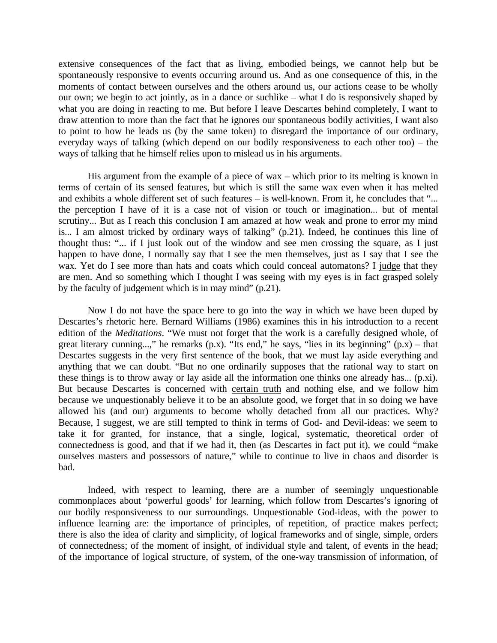extensive consequences of the fact that as living, embodied beings, we cannot help but be spontaneously responsive to events occurring around us. And as one consequence of this, in the moments of contact between ourselves and the others around us, our actions cease to be wholly our own; we begin to act jointly, as in a dance or suchlike – what I do is responsively shaped by what you are doing in reacting to me. But before I leave Descartes behind completely, I want to draw attention to more than the fact that he ignores our spontaneous bodily activities, I want also to point to how he leads us (by the same token) to disregard the importance of our ordinary, everyday ways of talking (which depend on our bodily responsiveness to each other too) – the ways of talking that he himself relies upon to mislead us in his arguments.

His argument from the example of a piece of wax – which prior to its melting is known in terms of certain of its sensed features, but which is still the same wax even when it has melted and exhibits a whole different set of such features – is well-known. From it, he concludes that "... the perception I have of it is a case not of vision or touch or imagination... but of mental scrutiny... But as I reach this conclusion I am amazed at how weak and prone to error my mind is... I am almost tricked by ordinary ways of talking" (p.21). Indeed, he continues this line of thought thus: "... if I just look out of the window and see men crossing the square, as I just happen to have done, I normally say that I see the men themselves, just as I say that I see the wax. Yet do I see more than hats and coats which could conceal automatons? I judge that they are men. And so something which I thought I was seeing with my eyes is in fact grasped solely by the faculty of judgement which is in may mind" (p.21).

Now I do not have the space here to go into the way in which we have been duped by Descartes's rhetoric here. Bernard Williams (1986) examines this in his introduction to a recent edition of the *Meditations*. "We must not forget that the work is a carefully designed whole, of great literary cunning...," he remarks  $(p.x)$ . "Its end," he says, "lies in its beginning"  $(p.x)$  – that Descartes suggests in the very first sentence of the book, that we must lay aside everything and anything that we can doubt. "But no one ordinarily supposes that the rational way to start on these things is to throw away or lay aside all the information one thinks one already has... (p.xi). But because Descartes is concerned with certain truth and nothing else, and we follow him because we unquestionably believe it to be an absolute good, we forget that in so doing we have allowed his (and our) arguments to become wholly detached from all our practices. Why? Because, I suggest, we are still tempted to think in terms of God- and Devil-ideas: we seem to take it for granted, for instance, that a single, logical, systematic, theoretical order of connectedness is good, and that if we had it, then (as Descartes in fact put it), we could "make ourselves masters and possessors of nature," while to continue to live in chaos and disorder is bad.

Indeed, with respect to learning, there are a number of seemingly unquestionable commonplaces about 'powerful goods' for learning, which follow from Descartes's ignoring of our bodily responsiveness to our surroundings. Unquestionable God-ideas, with the power to influence learning are: the importance of principles, of repetition, of practice makes perfect; there is also the idea of clarity and simplicity, of logical frameworks and of single, simple, orders of connectedness; of the moment of insight, of individual style and talent, of events in the head; of the importance of logical structure, of system, of the one-way transmission of information, of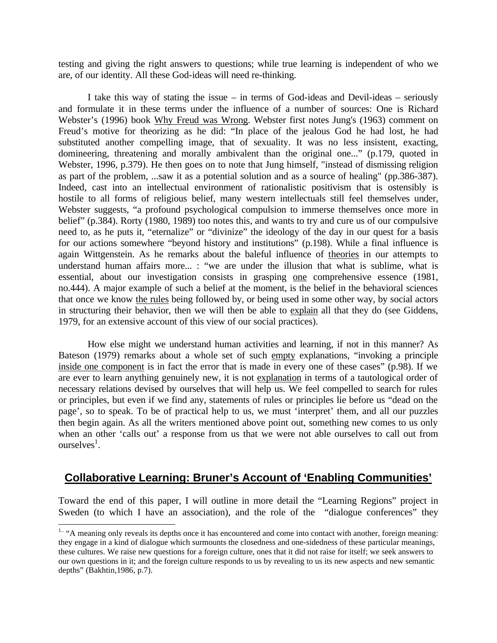testing and giving the right answers to questions; while true learning is independent of who we are, of our identity. All these God-ideas will need re-thinking.

I take this way of stating the issue – in terms of God-ideas and Devil-ideas – seriously and formulate it in these terms under the influence of a number of sources: One is Richard Webster's (1996) book Why Freud was Wrong. Webster first notes Jung's (1963) comment on Freud's motive for theorizing as he did: "In place of the jealous God he had lost, he had substituted another compelling image, that of sexuality. It was no less insistent, exacting, domineering, threatening and morally ambivalent than the original one..." (p.179, quoted in Webster, 1996, p.379). He then goes on to note that Jung himself, "instead of dismissing religion as part of the problem, ...saw it as a potential solution and as a source of healing" (pp.386-387). Indeed, cast into an intellectual environment of rationalistic positivism that is ostensibly is hostile to all forms of religious belief, many western intellectuals still feel themselves under, Webster suggests, "a profound psychological compulsion to immerse themselves once more in belief" (p.384). Rorty (1980, 1989) too notes this, and wants to try and cure us of our compulsive need to, as he puts it, "eternalize" or "divinize" the ideology of the day in our quest for a basis for our actions somewhere "beyond history and institutions" (p.198). While a final influence is again Wittgenstein. As he remarks about the baleful influence of theories in our attempts to understand human affairs more... : "we are under the illusion that what is sublime, what is essential, about our investigation consists in grasping one comprehensive essence (1981, no.444). A major example of such a belief at the moment, is the belief in the behavioral sciences that once we know the rules being followed by, or being used in some other way, by social actors in structuring their behavior, then we will then be able to explain all that they do (see Giddens, 1979, for an extensive account of this view of our social practices).

How else might we understand human activities and learning, if not in this manner? As Bateson (1979) remarks about a whole set of such empty explanations, "invoking a principle inside one component is in fact the error that is made in every one of these cases" (p.98). If we are ever to learn anything genuinely new, it is not explanation in terms of a tautological order of necessary relations devised by ourselves that will help us. We feel compelled to search for rules or principles, but even if we find any, statements of rules or principles lie before us "dead on the page', so to speak. To be of practical help to us, we must 'interpret' them, and all our puzzles then begin again. As all the writers mentioned above point out, something new comes to us only when an other 'calls out' a response from us that we were not able ourselves to call out from ourselves<sup>1</sup>.

## **Collaborative Learning: Bruner's Account of 'Enabling Communities'**

Toward the end of this paper, I will outline in more detail the "Learning Regions" project in Sweden (to which I have an association), and the role of the "dialogue conferences" they

 $\overline{a}$ 

<sup>&</sup>lt;sup>1..</sup> "A meaning only reveals its depths once it has encountered and come into contact with another, foreign meaning: they engage in a kind of dialogue which surmounts the closedness and one-sidedness of these particular meanings, these cultures. We raise new questions for a foreign culture, ones that it did not raise for itself; we seek answers to our own questions in it; and the foreign culture responds to us by revealing to us its new aspects and new semantic depths" (Bakhtin,1986, p.7).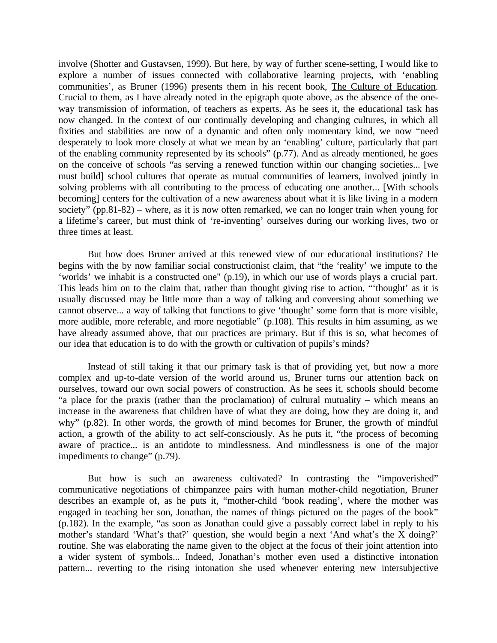involve (Shotter and Gustavsen, 1999). But here, by way of further scene-setting, I would like to explore a number of issues connected with collaborative learning projects, with 'enabling communities', as Bruner (1996) presents them in his recent book, The Culture of Education. Crucial to them, as I have already noted in the epigraph quote above, as the absence of the oneway transmission of information, of teachers as experts. As he sees it, the educational task has now changed. In the context of our continually developing and changing cultures, in which all fixities and stabilities are now of a dynamic and often only momentary kind, we now "need desperately to look more closely at what we mean by an 'enabling' culture, particularly that part of the enabling community represented by its schools" (p.77). And as already mentioned, he goes on the conceive of schools "as serving a renewed function within our changing societies... [we must build] school cultures that operate as mutual communities of learners, involved jointly in solving problems with all contributing to the process of educating one another... [With schools becoming] centers for the cultivation of a new awareness about what it is like living in a modern society" (pp.81-82) – where, as it is now often remarked, we can no longer train when young for a lifetime's career, but must think of 're-inventing' ourselves during our working lives, two or three times at least.

But how does Bruner arrived at this renewed view of our educational institutions? He begins with the by now familiar social constructionist claim, that "the 'reality' we impute to the 'worlds' we inhabit is a constructed one" (p.19), in which our use of words plays a crucial part. This leads him on to the claim that, rather than thought giving rise to action, "'thought' as it is usually discussed may be little more than a way of talking and conversing about something we cannot observe... a way of talking that functions to give 'thought' some form that is more visible, more audible, more referable, and more negotiable" (p.108). This results in him assuming, as we have already assumed above, that our practices are primary. But if this is so, what becomes of our idea that education is to do with the growth or cultivation of pupils's minds?

Instead of still taking it that our primary task is that of providing yet, but now a more complex and up-to-date version of the world around us, Bruner turns our attention back on ourselves, toward our own social powers of construction. As he sees it, schools should become "a place for the praxis (rather than the proclamation) of cultural mutuality – which means an increase in the awareness that children have of what they are doing, how they are doing it, and why" (p.82). In other words, the growth of mind becomes for Bruner, the growth of mindful action, a growth of the ability to act self-consciously. As he puts it, "the process of becoming aware of practice... is an antidote to mindlessness. And mindlessness is one of the major impediments to change" (p.79).

But how is such an awareness cultivated? In contrasting the "impoverished" communicative negotiations of chimpanzee pairs with human mother-child negotiation, Bruner describes an example of, as he puts it, "mother-child 'book reading', where the mother was engaged in teaching her son, Jonathan, the names of things pictured on the pages of the book" (p.182). In the example, "as soon as Jonathan could give a passably correct label in reply to his mother's standard 'What's that?' question, she would begin a next 'And what's the X doing?' routine. She was elaborating the name given to the object at the focus of their joint attention into a wider system of symbols... Indeed, Jonathan's mother even used a distinctive intonation pattern... reverting to the rising intonation she used whenever entering new intersubjective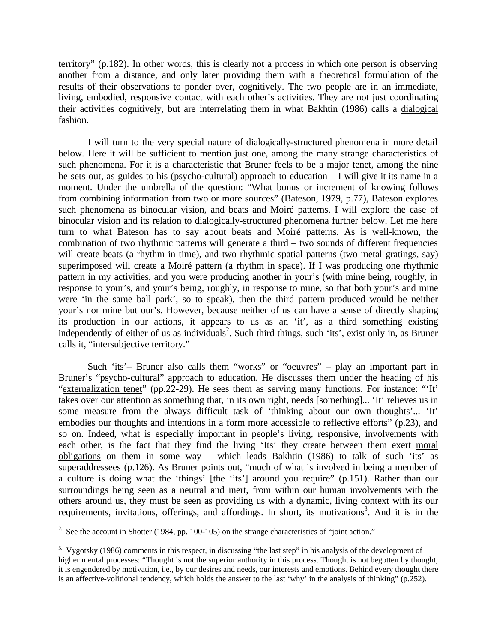territory" (p.182). In other words, this is clearly not a process in which one person is observing another from a distance, and only later providing them with a theoretical formulation of the results of their observations to ponder over, cognitively. The two people are in an immediate, living, embodied, responsive contact with each other's activities. They are not just coordinating their activities cognitively, but are interrelating them in what Bakhtin (1986) calls a dialogical fashion.

I will turn to the very special nature of dialogically-structured phenomena in more detail below. Here it will be sufficient to mention just one, among the many strange characteristics of such phenomena. For it is a characteristic that Bruner feels to be a major tenet, among the nine he sets out, as guides to his (psycho-cultural) approach to education – I will give it its name in a moment. Under the umbrella of the question: "What bonus or increment of knowing follows from combining information from two or more sources" (Bateson, 1979, p.77), Bateson explores such phenomena as binocular vision, and beats and Moiré patterns. I will explore the case of binocular vision and its relation to dialogically-structured phenomena further below. Let me here turn to what Bateson has to say about beats and Moiré patterns. As is well-known, the combination of two rhythmic patterns will generate a third – two sounds of different frequencies will create beats (a rhythm in time), and two rhythmic spatial patterns (two metal gratings, say) superimposed will create a Moiré pattern (a rhythm in space). If I was producing one rhythmic pattern in my activities, and you were producing another in your's (with mine being, roughly, in response to your's, and your's being, roughly, in response to mine, so that both your's and mine were 'in the same ball park', so to speak), then the third pattern produced would be neither your's nor mine but our's. However, because neither of us can have a sense of directly shaping its production in our actions, it appears to us as an 'it', as a third something existing independently of either of us as individuals<sup>2</sup>. Such third things, such 'its', exist only in, as Bruner calls it, "intersubjective territory."

Such 'its'– Bruner also calls them "works" or "oeuvres" – play an important part in Bruner's "psycho-cultural" approach to education. He discusses them under the heading of his "externalization tenet" (pp.22-29). He sees them as serving many functions. For instance: "'It' takes over our attention as something that, in its own right, needs [something]... 'It' relieves us in some measure from the always difficult task of 'thinking about our own thoughts'... 'It' embodies our thoughts and intentions in a form more accessible to reflective efforts" (p.23), and so on. Indeed, what is especially important in people's living, responsive, involvements with each other, is the fact that they find the living 'Its' they create between them exert moral obligations on them in some way – which leads Bakhtin (1986) to talk of such 'its' as superaddressees (p.126). As Bruner points out, "much of what is involved in being a member of a culture is doing what the 'things' [the 'its'] around you require" (p.151). Rather than our surroundings being seen as a neutral and inert, from within our human involvements with the others around us, they must be seen as providing us with a dynamic, living context with its our requirements, invitations, offerings, and affordings. In short, its motivations<sup>3</sup>. And it is in the

 $\overline{a}$ 

<sup>&</sup>lt;sup>2..</sup> See the account in Shotter (1984, pp. 100-105) on the strange characteristics of "joint action."

 $3.$  Vygotsky (1986) comments in this respect, in discussing "the last step" in his analysis of the development of higher mental processes: "Thought is not the superior authority in this process. Thought is not begotten by thought; it is engendered by motivation, i.e., by our desires and needs, our interests and emotions. Behind every thought there is an affective-volitional tendency, which holds the answer to the last 'why' in the analysis of thinking" (p.252).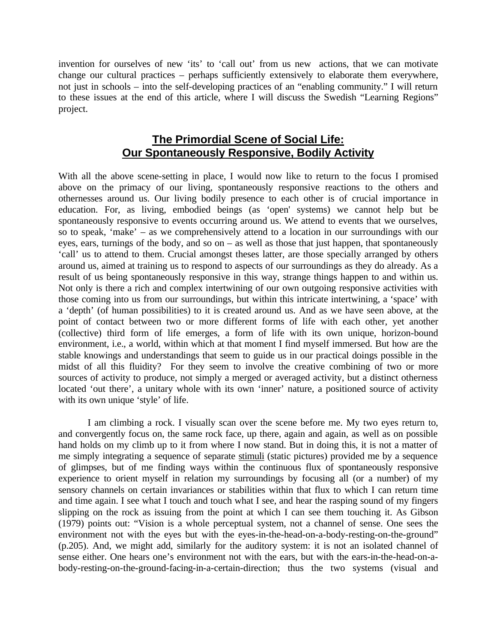invention for ourselves of new 'its' to 'call out' from us new actions, that we can motivate change our cultural practices – perhaps sufficiently extensively to elaborate them everywhere, not just in schools – into the self-developing practices of an "enabling community." I will return to these issues at the end of this article, where I will discuss the Swedish "Learning Regions" project.

### **The Primordial Scene of Social Life: Our Spontaneously Responsive, Bodily Activity**

With all the above scene-setting in place, I would now like to return to the focus I promised above on the primacy of our living, spontaneously responsive reactions to the others and othernesses around us. Our living bodily presence to each other is of crucial importance in education. For, as living, embodied beings (as 'open' systems) we cannot help but be spontaneously responsive to events occurring around us. We attend to events that we ourselves, so to speak, 'make' – as we comprehensively attend to a location in our surroundings with our eyes, ears, turnings of the body, and so on – as well as those that just happen, that spontaneously 'call' us to attend to them. Crucial amongst theses latter, are those specially arranged by others around us, aimed at training us to respond to aspects of our surroundings as they do already. As a result of us being spontaneously responsive in this way, strange things happen to and within us. Not only is there a rich and complex intertwining of our own outgoing responsive activities with those coming into us from our surroundings, but within this intricate intertwining, a 'space' with a 'depth' (of human possibilities) to it is created around us. And as we have seen above, at the point of contact between two or more different forms of life with each other, yet another (collective) third form of life emerges, a form of life with its own unique, horizon-bound environment, i.e., a world, within which at that moment I find myself immersed. But how are the stable knowings and understandings that seem to guide us in our practical doings possible in the midst of all this fluidity? For they seem to involve the creative combining of two or more sources of activity to produce, not simply a merged or averaged activity, but a distinct otherness located 'out there', a unitary whole with its own 'inner' nature, a positioned source of activity with its own unique 'style' of life.

I am climbing a rock. I visually scan over the scene before me. My two eyes return to, and convergently focus on, the same rock face, up there, again and again, as well as on possible hand holds on my climb up to it from where I now stand. But in doing this, it is not a matter of me simply integrating a sequence of separate stimuli (static pictures) provided me by a sequence of glimpses, but of me finding ways within the continuous flux of spontaneously responsive experience to orient myself in relation my surroundings by focusing all (or a number) of my sensory channels on certain invariances or stabilities within that flux to which I can return time and time again. I see what I touch and touch what I see, and hear the rasping sound of my fingers slipping on the rock as issuing from the point at which I can see them touching it. As Gibson (1979) points out: "Vision is a whole perceptual system, not a channel of sense. One sees the environment not with the eyes but with the eyes-in-the-head-on-a-body-resting-on-the-ground" (p.205). And, we might add, similarly for the auditory system: it is not an isolated channel of sense either. One hears one's environment not with the ears, but with the ears-in-the-head-on-abody-resting-on-the-ground-facing-in-a-certain-direction; thus the two systems (visual and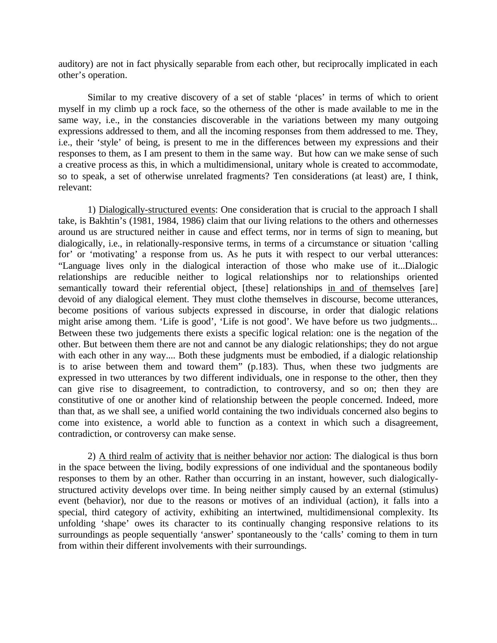auditory) are not in fact physically separable from each other, but reciprocally implicated in each other's operation.

Similar to my creative discovery of a set of stable 'places' in terms of which to orient myself in my climb up a rock face, so the otherness of the other is made available to me in the same way, i.e., in the constancies discoverable in the variations between my many outgoing expressions addressed to them, and all the incoming responses from them addressed to me. They, i.e., their 'style' of being, is present to me in the differences between my expressions and their responses to them, as I am present to them in the same way. But how can we make sense of such a creative process as this, in which a multidimensional, unitary whole is created to accommodate, so to speak, a set of otherwise unrelated fragments? Ten considerations (at least) are, I think, relevant:

1) Dialogically-structured events: One consideration that is crucial to the approach I shall take, is Bakhtin's (1981, 1984, 1986) claim that our living relations to the others and othernesses around us are structured neither in cause and effect terms, nor in terms of sign to meaning, but dialogically, i.e., in relationally-responsive terms, in terms of a circumstance or situation 'calling for' or 'motivating' a response from us. As he puts it with respect to our verbal utterances: "Language lives only in the dialogical interaction of those who make use of it...Dialogic relationships are reducible neither to logical relationships nor to relationships oriented semantically toward their referential object, [these] relationships in and of themselves [are] devoid of any dialogical element. They must clothe themselves in discourse, become utterances, become positions of various subjects expressed in discourse, in order that dialogic relations might arise among them. 'Life is good', 'Life is not good'. We have before us two judgments... Between these two judgements there exists a specific logical relation: one is the negation of the other. But between them there are not and cannot be any dialogic relationships; they do not argue with each other in any way.... Both these judgments must be embodied, if a dialogic relationship is to arise between them and toward them" (p.183). Thus, when these two judgments are expressed in two utterances by two different individuals, one in response to the other, then they can give rise to disagreement, to contradiction, to controversy, and so on; then they are constitutive of one or another kind of relationship between the people concerned. Indeed, more than that, as we shall see, a unified world containing the two individuals concerned also begins to come into existence, a world able to function as a context in which such a disagreement, contradiction, or controversy can make sense.

2) A third realm of activity that is neither behavior nor action: The dialogical is thus born in the space between the living, bodily expressions of one individual and the spontaneous bodily responses to them by an other. Rather than occurring in an instant, however, such dialogicallystructured activity develops over time. In being neither simply caused by an external (stimulus) event (behavior), nor due to the reasons or motives of an individual (action), it falls into a special, third category of activity, exhibiting an intertwined, multidimensional complexity. Its unfolding 'shape' owes its character to its continually changing responsive relations to its surroundings as people sequentially 'answer' spontaneously to the 'calls' coming to them in turn from within their different involvements with their surroundings.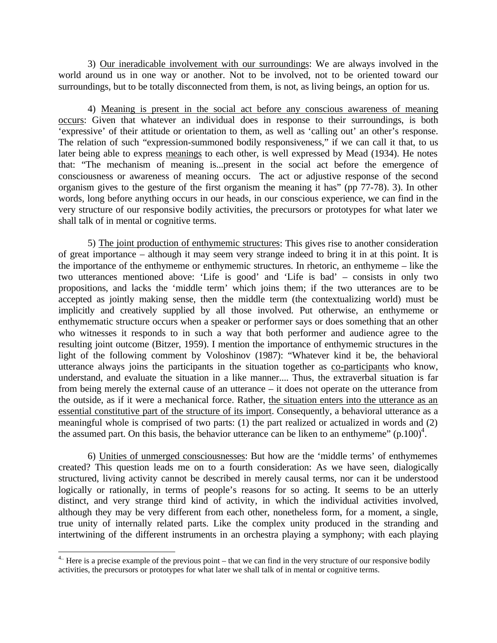3) Our ineradicable involvement with our surroundings: We are always involved in the world around us in one way or another. Not to be involved, not to be oriented toward our surroundings, but to be totally disconnected from them, is not, as living beings, an option for us.

4) Meaning is present in the social act before any conscious awareness of meaning occurs: Given that whatever an individual does in response to their surroundings, is both 'expressive' of their attitude or orientation to them, as well as 'calling out' an other's response. The relation of such "expression-summoned bodily responsiveness," if we can call it that, to us later being able to express meanings to each other, is well expressed by Mead (1934). He notes that: "The mechanism of meaning is...present in the social act before the emergence of consciousness or awareness of meaning occurs. The act or adjustive response of the second organism gives to the gesture of the first organism the meaning it has" (pp 77-78). 3). In other words, long before anything occurs in our heads, in our conscious experience, we can find in the very structure of our responsive bodily activities, the precursors or prototypes for what later we shall talk of in mental or cognitive terms.

5) The joint production of enthymemic structures: This gives rise to another consideration of great importance – although it may seem very strange indeed to bring it in at this point. It is the importance of the enthymeme or enthymemic structures. In rhetoric, an enthymeme – like the two utterances mentioned above: 'Life is good' and 'Life is bad' – consists in only two propositions, and lacks the 'middle term' which joins them; if the two utterances are to be accepted as jointly making sense, then the middle term (the contextualizing world) must be implicitly and creatively supplied by all those involved. Put otherwise, an enthymeme or enthymematic structure occurs when a speaker or performer says or does something that an other who witnesses it responds to in such a way that both performer and audience agree to the resulting joint outcome (Bitzer, 1959). I mention the importance of enthymemic structures in the light of the following comment by Voloshinov (1987): "Whatever kind it be, the behavioral utterance always joins the participants in the situation together as co-participants who know, understand, and evaluate the situation in a like manner.... Thus, the extraverbal situation is far from being merely the external cause of an utterance – it does not operate on the utterance from the outside, as if it were a mechanical force. Rather, the situation enters into the utterance as an essential constitutive part of the structure of its import. Consequently, a behavioral utterance as a meaningful whole is comprised of two parts: (1) the part realized or actualized in words and (2) the assumed part. On this basis, the behavior utterance can be liken to an enthymeme"  $(p.100)^4$ .

6) Unities of unmerged consciousnesses: But how are the 'middle terms' of enthymemes created? This question leads me on to a fourth consideration: As we have seen, dialogically structured, living activity cannot be described in merely causal terms, nor can it be understood logically or rationally, in terms of people's reasons for so acting. It seems to be an utterly distinct, and very strange third kind of activity, in which the individual activities involved, although they may be very different from each other, nonetheless form, for a moment, a single, true unity of internally related parts. Like the complex unity produced in the stranding and intertwining of the different instruments in an orchestra playing a symphony; with each playing

 $\overline{a}$  $4$ . Here is a precise example of the previous point – that we can find in the very structure of our responsive bodily activities, the precursors or prototypes for what later we shall talk of in mental or cognitive terms.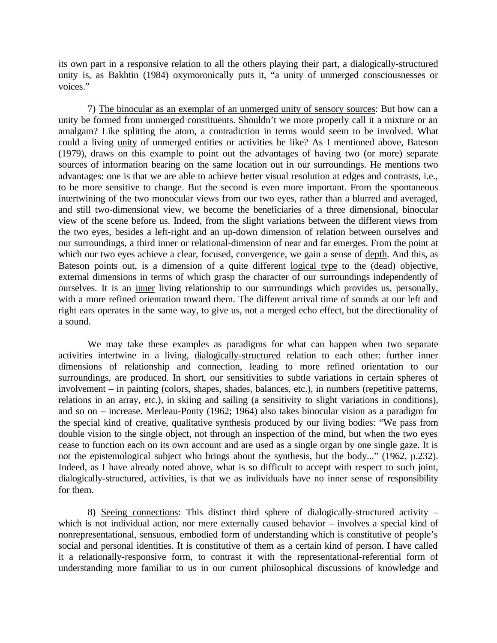its own part in a responsive relation to all the others playing their part, a dialogically-structured unity is, as Bakhtin (1984) oxymoronically puts it, "a unity of unmerged consciousnesses or voices."

7) The binocular as an exemplar of an unmerged unity of sensory sources: But how can a unity be formed from unmerged constituents. Shouldn't we more properly call it a mixture or an amalgam? Like splitting the atom, a contradiction in terms would seem to be involved. What could a living unity of unmerged entities or activities be like? As I mentioned above, Bateson (1979), draws on this example to point out the advantages of having two (or more) separate sources of information bearing on the same location out in our surroundings. He mentions two advantages: one is that we are able to achieve better visual resolution at edges and contrasts, i.e., to be more sensitive to change. But the second is even more important. From the spontaneous intertwining of the two monocular views from our two eyes, rather than a blurred and averaged, and still two-dimensional view, we become the beneficiaries of a three dimensional, binocular view of the scene before us. Indeed, from the slight variations between the different views from the two eyes, besides a left-right and an up-down dimension of relation between ourselves and our surroundings, a third inner or relational-dimension of near and far emerges. From the point at which our two eyes achieve a clear, focused, convergence, we gain a sense of depth. And this, as Bateson points out, is a dimension of a quite different logical type to the (dead) objective, external dimensions in terms of which grasp the character of our surroundings independently of ourselves. It is an inner living relationship to our surroundings which provides us, personally, with a more refined orientation toward them. The different arrival time of sounds at our left and right ears operates in the same way, to give us, not a merged echo effect, but the directionality of a sound.

We may take these examples as paradigms for what can happen when two separate activities intertwine in a living, dialogically-structured relation to each other: further inner dimensions of relationship and connection, leading to more refined orientation to our surroundings, are produced. In short, our sensitivities to subtle variations in certain spheres of involvement – in painting (colors, shapes, shades, balances, etc.), in numbers (repetitive patterns, relations in an array, etc.), in skiing and sailing (a sensitivity to slight variations in conditions), and so on – increase. Merleau-Ponty (1962; 1964) also takes binocular vision as a paradigm for the special kind of creative, qualitative synthesis produced by our living bodies: "We pass from double vision to the single object, not through an inspection of the mind, but when the two eyes cease to function each on its own account and are used as a single organ by one single gaze. It is not the epistemological subject who brings about the synthesis, but the body..." (1962, p.232). Indeed, as I have already noted above, what is so difficult to accept with respect to such joint, dialogically-structured, activities, is that we as individuals have no inner sense of responsibility for them.

8) Seeing connections: This distinct third sphere of dialogically-structured activity – which is not individual action, nor mere externally caused behavior – involves a special kind of nonrepresentational, sensuous, embodied form of understanding which is constitutive of people's social and personal identities. It is constitutive of them as a certain kind of person. I have called it a relationally-responsive form, to contrast it with the representational-referential form of understanding more familiar to us in our current philosophical discussions of knowledge and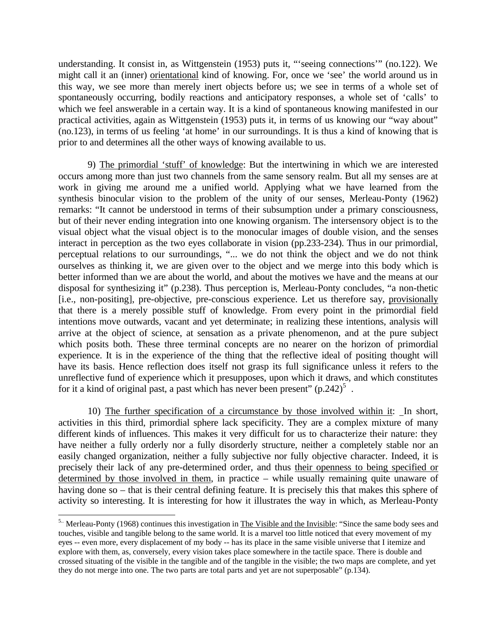understanding. It consist in, as Wittgenstein (1953) puts it, "'seeing connections'" (no.122). We might call it an (inner) orientational kind of knowing. For, once we 'see' the world around us in this way, we see more than merely inert objects before us; we see in terms of a whole set of spontaneously occurring, bodily reactions and anticipatory responses, a whole set of 'calls' to which we feel answerable in a certain way. It is a kind of spontaneous knowing manifested in our practical activities, again as Wittgenstein (1953) puts it, in terms of us knowing our "way about" (no.123), in terms of us feeling 'at home' in our surroundings. It is thus a kind of knowing that is prior to and determines all the other ways of knowing available to us.

9) The primordial 'stuff' of knowledge: But the intertwining in which we are interested occurs among more than just two channels from the same sensory realm. But all my senses are at work in giving me around me a unified world. Applying what we have learned from the synthesis binocular vision to the problem of the unity of our senses, Merleau-Ponty (1962) remarks: "It cannot be understood in terms of their subsumption under a primary consciousness, but of their never ending integration into one knowing organism. The intersensory object is to the visual object what the visual object is to the monocular images of double vision, and the senses interact in perception as the two eyes collaborate in vision (pp.233-234). Thus in our primordial, perceptual relations to our surroundings, "... we do not think the object and we do not think ourselves as thinking it, we are given over to the object and we merge into this body which is better informed than we are about the world, and about the motives we have and the means at our disposal for synthesizing it" (p.238). Thus perception is, Merleau-Ponty concludes, "a non-thetic [i.e., non-positing], pre-objective, pre-conscious experience. Let us therefore say, provisionally that there is a merely possible stuff of knowledge. From every point in the primordial field intentions move outwards, vacant and yet determinate; in realizing these intentions, analysis will arrive at the object of science, at sensation as a private phenomenon, and at the pure subject which posits both. These three terminal concepts are no nearer on the horizon of primordial experience. It is in the experience of the thing that the reflective ideal of positing thought will have its basis. Hence reflection does itself not grasp its full significance unless it refers to the unreflective fund of experience which it presupposes, upon which it draws, and which constitutes for it a kind of original past, a past which has never been present"  $(p.242)^5$ .

10) The further specification of a circumstance by those involved within it: In short, activities in this third, primordial sphere lack specificity. They are a complex mixture of many different kinds of influences. This makes it very difficult for us to characterize their nature: they have neither a fully orderly nor a fully disorderly structure, neither a completely stable nor an easily changed organization, neither a fully subjective nor fully objective character. Indeed, it is precisely their lack of any pre-determined order, and thus their openness to being specified or determined by those involved in them, in practice – while usually remaining quite unaware of having done so – that is their central defining feature. It is precisely this that makes this sphere of activity so interesting. It is interesting for how it illustrates the way in which, as Merleau-Ponty

-

<sup>&</sup>lt;sup>5..</sup> Merleau-Ponty (1968) continues this investigation in The Visible and the Invisible: "Since the same body sees and touches, visible and tangible belong to the same world. It is a marvel too little noticed that every movement of my eyes -- even more, every displacement of my body -- has its place in the same visible universe that I itemize and explore with them, as, conversely, every vision takes place somewhere in the tactile space. There is double and crossed situating of the visible in the tangible and of the tangible in the visible; the two maps are complete, and yet they do not merge into one. The two parts are total parts and yet are not superposable" (p.134).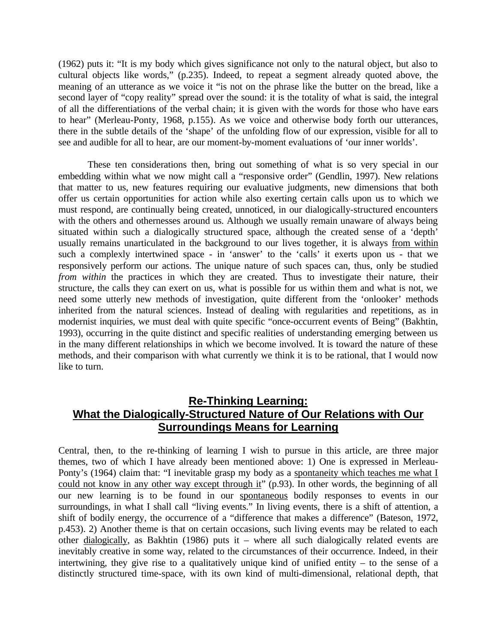(1962) puts it: "It is my body which gives significance not only to the natural object, but also to cultural objects like words," (p.235). Indeed, to repeat a segment already quoted above, the meaning of an utterance as we voice it "is not on the phrase like the butter on the bread, like a second layer of "copy reality" spread over the sound: it is the totality of what is said, the integral of all the differentiations of the verbal chain; it is given with the words for those who have ears to hear" (Merleau-Ponty, 1968, p.155). As we voice and otherwise body forth our utterances, there in the subtle details of the 'shape' of the unfolding flow of our expression, visible for all to see and audible for all to hear, are our moment-by-moment evaluations of 'our inner worlds'.

These ten considerations then, bring out something of what is so very special in our embedding within what we now might call a "responsive order" (Gendlin, 1997). New relations that matter to us, new features requiring our evaluative judgments, new dimensions that both offer us certain opportunities for action while also exerting certain calls upon us to which we must respond, are continually being created, unnoticed, in our dialogically-structured encounters with the others and othernesses around us. Although we usually remain unaware of always being situated within such a dialogically structured space, although the created sense of a 'depth' usually remains unarticulated in the background to our lives together, it is always from within such a complexly intertwined space - in 'answer' to the 'calls' it exerts upon us - that we responsively perform our actions. The unique nature of such spaces can, thus, only be studied *from within* the practices in which they are created. Thus to investigate their nature, their structure, the calls they can exert on us, what is possible for us within them and what is not, we need some utterly new methods of investigation, quite different from the 'onlooker' methods inherited from the natural sciences. Instead of dealing with regularities and repetitions, as in modernist inquiries, we must deal with quite specific "once-occurrent events of Being" (Bakhtin, 1993), occurring in the quite distinct and specific realities of understanding emerging between us in the many different relationships in which we become involved. It is toward the nature of these methods, and their comparison with what currently we think it is to be rational, that I would now like to turn.

# **Re-Thinking Learning: What the Dialogically-Structured Nature of Our Relations with Our Surroundings Means for Learning**

Central, then, to the re-thinking of learning I wish to pursue in this article, are three major themes, two of which I have already been mentioned above: 1) One is expressed in Merleau-Ponty's (1964) claim that: "I inevitable grasp my body as a spontaneity which teaches me what I could not know in any other way except through it" (p.93). In other words, the beginning of all our new learning is to be found in our spontaneous bodily responses to events in our surroundings, in what I shall call "living events." In living events, there is a shift of attention, a shift of bodily energy, the occurrence of a "difference that makes a difference" (Bateson, 1972, p.453). 2) Another theme is that on certain occasions, such living events may be related to each other dialogically, as Bakhtin (1986) puts it – where all such dialogically related events are inevitably creative in some way, related to the circumstances of their occurrence. Indeed, in their intertwining, they give rise to a qualitatively unique kind of unified entity – to the sense of a distinctly structured time-space, with its own kind of multi-dimensional, relational depth, that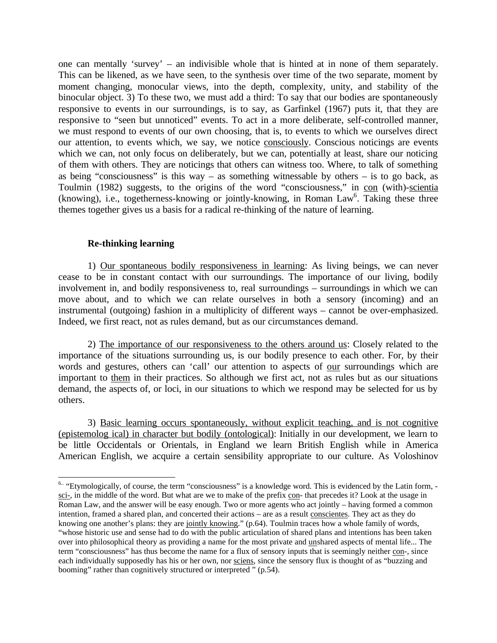one can mentally 'survey' – an indivisible whole that is hinted at in none of them separately. This can be likened, as we have seen, to the synthesis over time of the two separate, moment by moment changing, monocular views, into the depth, complexity, unity, and stability of the binocular object. 3) To these two, we must add a third: To say that our bodies are spontaneously responsive to events in our surroundings, is to say, as Garfinkel (1967) puts it, that they are responsive to "seen but unnoticed" events. To act in a more deliberate, self-controlled manner, we must respond to events of our own choosing, that is, to events to which we ourselves direct our attention, to events which, we say, we notice consciously. Conscious noticings are events which we can, not only focus on deliberately, but we can, potentially at least, share our noticing of them with others. They are noticings that others can witness too. Where, to talk of something as being "consciousness" is this way – as something witnessable by others – is to go back, as Toulmin (1982) suggests, to the origins of the word "consciousness," in con (with)-scientia (knowing), i.e., togetherness-knowing or jointly-knowing, in Roman Law<sup>6</sup>. Taking these three themes together gives us a basis for a radical re-thinking of the nature of learning.

#### **Re-thinking learning**

 $\overline{a}$ 

1) Our spontaneous bodily responsiveness in learning: As living beings, we can never cease to be in constant contact with our surroundings. The importance of our living, bodily involvement in, and bodily responsiveness to, real surroundings – surroundings in which we can move about, and to which we can relate ourselves in both a sensory (incoming) and an instrumental (outgoing) fashion in a multiplicity of different ways – cannot be over-emphasized. Indeed, we first react, not as rules demand, but as our circumstances demand.

2) The importance of our responsiveness to the others around us: Closely related to the importance of the situations surrounding us, is our bodily presence to each other. For, by their words and gestures, others can 'call' our attention to aspects of our surroundings which are important to them in their practices. So although we first act, not as rules but as our situations demand, the aspects of, or loci, in our situations to which we respond may be selected for us by others.

3) Basic learning occurs spontaneously, without explicit teaching, and is not cognitive (epistemolog ical) in character but bodily (ontological): Initially in our development, we learn to be little Occidentals or Orientals, in England we learn British English while in America American English, we acquire a certain sensibility appropriate to our culture. As Voloshinov

<sup>&</sup>lt;sup>6..</sup> "Etymologically, of course, the term "consciousness" is a knowledge word. This is evidenced by the Latin form, sci-, in the middle of the word. But what are we to make of the prefix con- that precedes it? Look at the usage in Roman Law, and the answer will be easy enough. Two or more agents who act jointly – having formed a common intention, framed a shared plan, and concerted their actions – are as a result conscientes. They act as they do knowing one another's plans: they are jointly knowing." (p.64). Toulmin traces how a whole family of words, "whose historic use and sense had to do with the public articulation of shared plans and intentions has been taken over into philosophical theory as providing a name for the most private and unshared aspects of mental life... The term "consciousness" has thus become the name for a flux of sensory inputs that is seemingly neither con-, since each individually supposedly has his or her own, nor sciens, since the sensory flux is thought of as "buzzing and booming" rather than cognitively structured or interpreted " (p.54).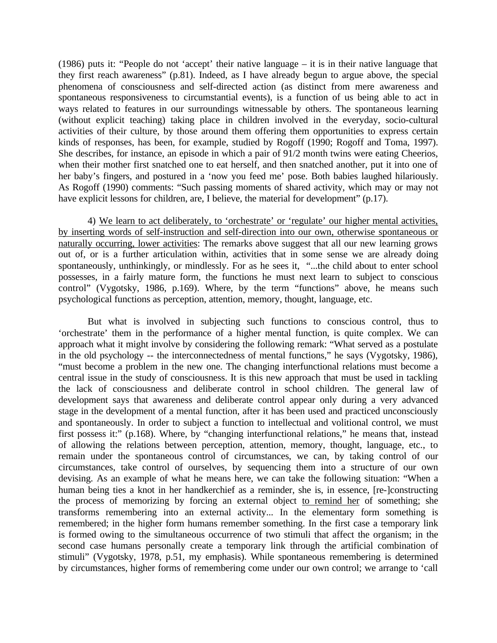(1986) puts it: "People do not 'accept' their native language – it is in their native language that they first reach awareness" (p.81). Indeed, as I have already begun to argue above, the special phenomena of consciousness and self-directed action (as distinct from mere awareness and spontaneous responsiveness to circumstantial events), is a function of us being able to act in ways related to features in our surroundings witnessable by others. The spontaneous learning (without explicit teaching) taking place in children involved in the everyday, socio-cultural activities of their culture, by those around them offering them opportunities to express certain kinds of responses, has been, for example, studied by Rogoff (1990; Rogoff and Toma, 1997). She describes, for instance, an episode in which a pair of 91/2 month twins were eating Cheerios, when their mother first snatched one to eat herself, and then snatched another, put it into one of her baby's fingers, and postured in a 'now you feed me' pose. Both babies laughed hilariously. As Rogoff (1990) comments: "Such passing moments of shared activity, which may or may not have explicit lessons for children, are, I believe, the material for development" (p.17).

4) We learn to act deliberately, to 'orchestrate' or 'regulate' our higher mental activities, by inserting words of self-instruction and self-direction into our own, otherwise spontaneous or naturally occurring, lower activities: The remarks above suggest that all our new learning grows out of, or is a further articulation within, activities that in some sense we are already doing spontaneously, unthinkingly, or mindlessly. For as he sees it, "...the child about to enter school possesses, in a fairly mature form, the functions he must next learn to subject to conscious control" (Vygotsky, 1986, p.169). Where, by the term "functions" above, he means such psychological functions as perception, attention, memory, thought, language, etc.

But what is involved in subjecting such functions to conscious control, thus to 'orchestrate' them in the performance of a higher mental function, is quite complex. We can approach what it might involve by considering the following remark: "What served as a postulate in the old psychology -- the interconnectedness of mental functions," he says (Vygotsky, 1986), "must become a problem in the new one. The changing interfunctional relations must become a central issue in the study of consciousness. It is this new approach that must be used in tackling the lack of consciousness and deliberate control in school children. The general law of development says that awareness and deliberate control appear only during a very advanced stage in the development of a mental function, after it has been used and practiced unconsciously and spontaneously. In order to subject a function to intellectual and volitional control, we must first possess it:" (p.168). Where, by "changing interfunctional relations," he means that, instead of allowing the relations between perception, attention, memory, thought, language, etc., to remain under the spontaneous control of circumstances, we can, by taking control of our circumstances, take control of ourselves, by sequencing them into a structure of our own devising. As an example of what he means here, we can take the following situation: "When a human being ties a knot in her handkerchief as a reminder, she is, in essence, [re-]constructing the process of memorizing by forcing an external object to remind her of something; she transforms remembering into an external activity... In the elementary form something is remembered; in the higher form humans remember something. In the first case a temporary link is formed owing to the simultaneous occurrence of two stimuli that affect the organism; in the second case humans personally create a temporary link through the artificial combination of stimuli" (Vygotsky, 1978, p.51, my emphasis). While spontaneous remembering is determined by circumstances, higher forms of remembering come under our own control; we arrange to 'call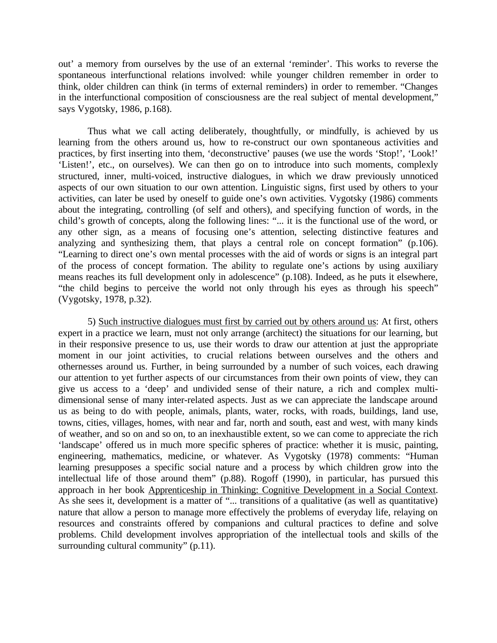out' a memory from ourselves by the use of an external 'reminder'. This works to reverse the spontaneous interfunctional relations involved: while younger children remember in order to think, older children can think (in terms of external reminders) in order to remember. "Changes in the interfunctional composition of consciousness are the real subject of mental development," says Vygotsky, 1986, p.168).

Thus what we call acting deliberately, thoughtfully, or mindfully, is achieved by us learning from the others around us, how to re-construct our own spontaneous activities and practices, by first inserting into them, 'deconstructive' pauses (we use the words 'Stop!', 'Look!' 'Listen!', etc., on ourselves). We can then go on to introduce into such moments, complexly structured, inner, multi-voiced, instructive dialogues, in which we draw previously unnoticed aspects of our own situation to our own attention. Linguistic signs, first used by others to your activities, can later be used by oneself to guide one's own activities. Vygotsky (1986) comments about the integrating, controlling (of self and others), and specifying function of words, in the child's growth of concepts, along the following lines: "... it is the functional use of the word, or any other sign, as a means of focusing one's attention, selecting distinctive features and analyzing and synthesizing them, that plays a central role on concept formation" (p.106). "Learning to direct one's own mental processes with the aid of words or signs is an integral part of the process of concept formation. The ability to regulate one's actions by using auxiliary means reaches its full development only in adolescence" (p.108). Indeed, as he puts it elsewhere, "the child begins to perceive the world not only through his eyes as through his speech" (Vygotsky, 1978, p.32).

5) Such instructive dialogues must first by carried out by others around us: At first, others expert in a practice we learn, must not only arrange (architect) the situations for our learning, but in their responsive presence to us, use their words to draw our attention at just the appropriate moment in our joint activities, to crucial relations between ourselves and the others and othernesses around us. Further, in being surrounded by a number of such voices, each drawing our attention to yet further aspects of our circumstances from their own points of view, they can give us access to a 'deep' and undivided sense of their nature, a rich and complex multidimensional sense of many inter-related aspects. Just as we can appreciate the landscape around us as being to do with people, animals, plants, water, rocks, with roads, buildings, land use, towns, cities, villages, homes, with near and far, north and south, east and west, with many kinds of weather, and so on and so on, to an inexhaustible extent, so we can come to appreciate the rich 'landscape' offered us in much more specific spheres of practice: whether it is music, painting, engineering, mathematics, medicine, or whatever. As Vygotsky (1978) comments: "Human learning presupposes a specific social nature and a process by which children grow into the intellectual life of those around them" (p.88). Rogoff (1990), in particular, has pursued this approach in her book Apprenticeship in Thinking: Cognitive Development in a Social Context. As she sees it, development is a matter of "... transitions of a qualitative (as well as quantitative) nature that allow a person to manage more effectively the problems of everyday life, relaying on resources and constraints offered by companions and cultural practices to define and solve problems. Child development involves appropriation of the intellectual tools and skills of the surrounding cultural community" (p.11).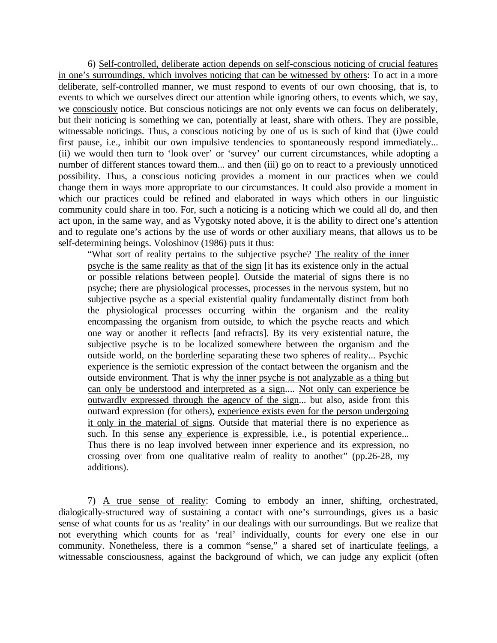6) Self-controlled, deliberate action depends on self-conscious noticing of crucial features in one's surroundings, which involves noticing that can be witnessed by others: To act in a more deliberate, self-controlled manner, we must respond to events of our own choosing, that is, to events to which we ourselves direct our attention while ignoring others, to events which, we say, we consciously notice. But conscious noticings are not only events we can focus on deliberately, but their noticing is something we can, potentially at least, share with others. They are possible, witnessable noticings. Thus, a conscious noticing by one of us is such of kind that (i)we could first pause, i.e., inhibit our own impulsive tendencies to spontaneously respond immediately... (ii) we would then turn to 'look over' or 'survey' our current circumstances, while adopting a number of different stances toward them... and then (iii) go on to react to a previously unnoticed possibility. Thus, a conscious noticing provides a moment in our practices when we could change them in ways more appropriate to our circumstances. It could also provide a moment in which our practices could be refined and elaborated in ways which others in our linguistic community could share in too. For, such a noticing is a noticing which we could all do, and then act upon, in the same way, and as Vygotsky noted above, it is the ability to direct one's attention and to regulate one's actions by the use of words or other auxiliary means, that allows us to be self-determining beings. Voloshinov (1986) puts it thus:

"What sort of reality pertains to the subjective psyche? The reality of the inner psyche is the same reality as that of the sign [it has its existence only in the actual or possible relations between people]. Outside the material of signs there is no psyche; there are physiological processes, processes in the nervous system, but no subjective psyche as a special existential quality fundamentally distinct from both the physiological processes occurring within the organism and the reality encompassing the organism from outside, to which the psyche reacts and which one way or another it reflects [and refracts]. By its very existential nature, the subjective psyche is to be localized somewhere between the organism and the outside world, on the borderline separating these two spheres of reality... Psychic experience is the semiotic expression of the contact between the organism and the outside environment. That is why the inner psyche is not analyzable as a thing but can only be understood and interpreted as a sign.... Not only can experience be outwardly expressed through the agency of the sign... but also, aside from this outward expression (for others), experience exists even for the person undergoing it only in the material of signs. Outside that material there is no experience as such. In this sense any experience is expressible, i.e., is potential experience... Thus there is no leap involved between inner experience and its expression, no crossing over from one qualitative realm of reality to another" (pp.26-28, my additions).

7) A true sense of reality: Coming to embody an inner, shifting, orchestrated, dialogically-structured way of sustaining a contact with one's surroundings, gives us a basic sense of what counts for us as 'reality' in our dealings with our surroundings. But we realize that not everything which counts for as 'real' individually, counts for every one else in our community. Nonetheless, there is a common "sense," a shared set of inarticulate feelings, a witnessable consciousness, against the background of which, we can judge any explicit (often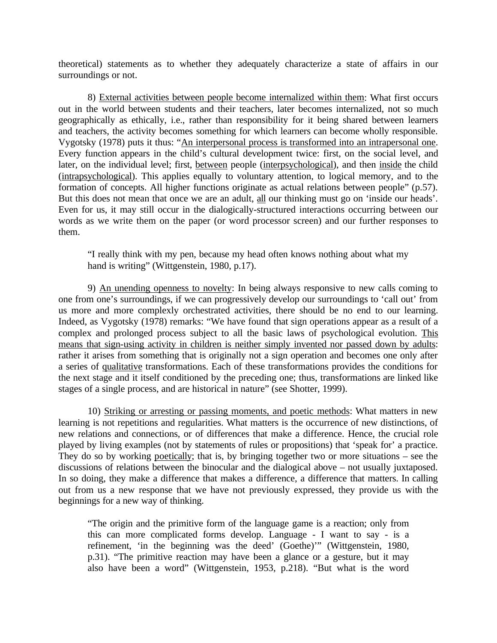theoretical) statements as to whether they adequately characterize a state of affairs in our surroundings or not.

8) External activities between people become internalized within them: What first occurs out in the world between students and their teachers, later becomes internalized, not so much geographically as ethically, i.e., rather than responsibility for it being shared between learners and teachers, the activity becomes something for which learners can become wholly responsible. Vygotsky (1978) puts it thus: "An interpersonal process is transformed into an intrapersonal one. Every function appears in the child's cultural development twice: first, on the social level, and later, on the individual level; first, between people (interpsychological), and then inside the child (intrapsychological). This applies equally to voluntary attention, to logical memory, and to the formation of concepts. All higher functions originate as actual relations between people" (p.57). But this does not mean that once we are an adult, all our thinking must go on 'inside our heads'. Even for us, it may still occur in the dialogically-structured interactions occurring between our words as we write them on the paper (or word processor screen) and our further responses to them.

"I really think with my pen, because my head often knows nothing about what my hand is writing" (Wittgenstein, 1980, p.17).

9) An unending openness to novelty: In being always responsive to new calls coming to one from one's surroundings, if we can progressively develop our surroundings to 'call out' from us more and more complexly orchestrated activities, there should be no end to our learning. Indeed, as Vygotsky (1978) remarks: "We have found that sign operations appear as a result of a complex and prolonged process subject to all the basic laws of psychological evolution. This means that sign-using activity in children is neither simply invented nor passed down by adults: rather it arises from something that is originally not a sign operation and becomes one only after a series of qualitative transformations. Each of these transformations provides the conditions for the next stage and it itself conditioned by the preceding one; thus, transformations are linked like stages of a single process, and are historical in nature" (see Shotter, 1999).

10) Striking or arresting or passing moments, and poetic methods: What matters in new learning is not repetitions and regularities. What matters is the occurrence of new distinctions, of new relations and connections, or of differences that make a difference. Hence, the crucial role played by living examples (not by statements of rules or propositions) that 'speak for' a practice. They do so by working poetically; that is, by bringing together two or more situations – see the discussions of relations between the binocular and the dialogical above – not usually juxtaposed. In so doing, they make a difference that makes a difference, a difference that matters. In calling out from us a new response that we have not previously expressed, they provide us with the beginnings for a new way of thinking.

"The origin and the primitive form of the language game is a reaction; only from this can more complicated forms develop. Language - I want to say - is a refinement, 'in the beginning was the deed' (Goethe)'" (Wittgenstein, 1980, p.31). "The primitive reaction may have been a glance or a gesture, but it may also have been a word" (Wittgenstein, 1953, p.218). "But what is the word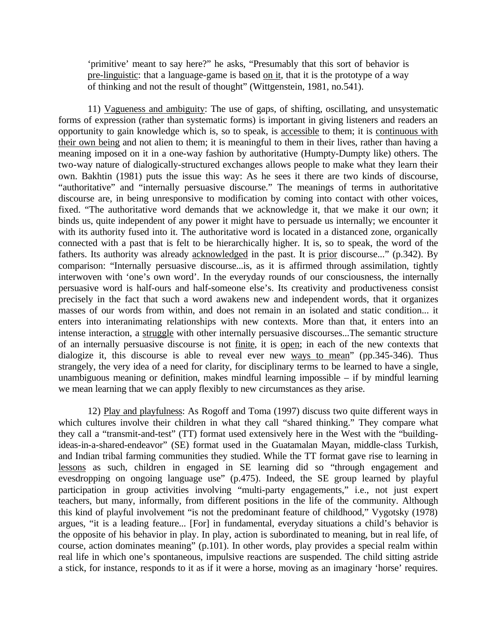'primitive' meant to say here?" he asks, "Presumably that this sort of behavior is pre-linguistic: that a language-game is based on it, that it is the prototype of a way of thinking and not the result of thought" (Wittgenstein, 1981, no.541).

11) Vagueness and ambiguity: The use of gaps, of shifting, oscillating, and unsystematic forms of expression (rather than systematic forms) is important in giving listeners and readers an opportunity to gain knowledge which is, so to speak, is accessible to them; it is continuous with their own being and not alien to them; it is meaningful to them in their lives, rather than having a meaning imposed on it in a one-way fashion by authoritative (Humpty-Dumpty like) others. The two-way nature of dialogically-structured exchanges allows people to make what they learn their own. Bakhtin (1981) puts the issue this way: As he sees it there are two kinds of discourse, "authoritative" and "internally persuasive discourse." The meanings of terms in authoritative discourse are, in being unresponsive to modification by coming into contact with other voices, fixed. "The authoritative word demands that we acknowledge it, that we make it our own; it binds us, quite independent of any power it might have to persuade us internally; we encounter it with its authority fused into it. The authoritative word is located in a distanced zone, organically connected with a past that is felt to be hierarchically higher. It is, so to speak, the word of the fathers. Its authority was already acknowledged in the past. It is prior discourse..." (p.342). By comparison: "Internally persuasive discourse...is, as it is affirmed through assimilation, tightly interwoven with 'one's own word'. In the everyday rounds of our consciousness, the internally persuasive word is half-ours and half-someone else's. Its creativity and productiveness consist precisely in the fact that such a word awakens new and independent words, that it organizes masses of our words from within, and does not remain in an isolated and static condition... it enters into interanimating relationships with new contexts. More than that, it enters into an intense interaction, a struggle with other internally persuasive discourses...The semantic structure of an internally persuasive discourse is not finite, it is open; in each of the new contexts that dialogize it, this discourse is able to reveal ever new ways to mean" (pp.345-346). Thus strangely, the very idea of a need for clarity, for disciplinary terms to be learned to have a single, unambiguous meaning or definition, makes mindful learning impossible – if by mindful learning we mean learning that we can apply flexibly to new circumstances as they arise.

12) Play and playfulness: As Rogoff and Toma (1997) discuss two quite different ways in which cultures involve their children in what they call "shared thinking." They compare what they call a "transmit-and-test" (TT) format used extensively here in the West with the "buildingideas-in-a-shared-endeavor" (SE) format used in the Guatamalan Mayan, middle-class Turkish, and Indian tribal farming communities they studied. While the TT format gave rise to learning in lessons as such, children in engaged in SE learning did so "through engagement and evesdropping on ongoing language use" (p.475). Indeed, the SE group learned by playful participation in group activities involving "multi-party engagements," i.e., not just expert teachers, but many, informally, from different positions in the life of the community. Although this kind of playful involvement "is not the predominant feature of childhood," Vygotsky (1978) argues, "it is a leading feature... [For] in fundamental, everyday situations a child's behavior is the opposite of his behavior in play. In play, action is subordinated to meaning, but in real life, of course, action dominates meaning" (p.101). In other words, play provides a special realm within real life in which one's spontaneous, impulsive reactions are suspended. The child sitting astride a stick, for instance, responds to it as if it were a horse, moving as an imaginary 'horse' requires.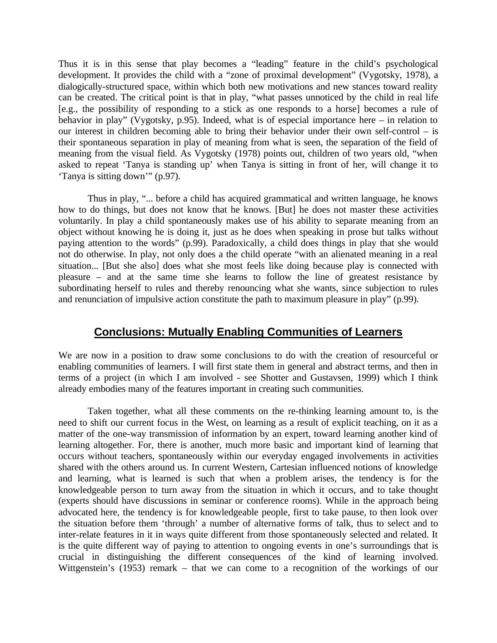Thus it is in this sense that play becomes a "leading" feature in the child's psychological development. It provides the child with a "zone of proximal development" (Vygotsky, 1978), a dialogically-structured space, within which both new motivations and new stances toward reality can be created. The critical point is that in play, "what passes unnoticed by the child in real life [e.g., the possibility of responding to a stick as one responds to a horse] becomes a rule of behavior in play" (Vygotsky, p.95). Indeed, what is of especial importance here – in relation to our interest in children becoming able to bring their behavior under their own self-control – is their spontaneous separation in play of meaning from what is seen, the separation of the field of meaning from the visual field. As Vygotsky (1978) points out, children of two years old, "when asked to repeat 'Tanya is standing up' when Tanya is sitting in front of her, will change it to 'Tanya is sitting down'" (p.97).

Thus in play, "... before a child has acquired grammatical and written language, he knows how to do things, but does not know that he knows. [But] he does not master these activities voluntarily. In play a child spontaneously makes use of his ability to separate meaning from an object without knowing he is doing it, just as he does when speaking in prose but talks without paying attention to the words" (p.99). Paradoxically, a child does things in play that she would not do otherwise. In play, not only does a the child operate "with an alienated meaning in a real situation... [But she also] does what she most feels like doing because play is connected with pleasure – and at the same time she learns to follow the line of greatest resistance by subordinating herself to rules and thereby renouncing what she wants, since subjection to rules and renunciation of impulsive action constitute the path to maximum pleasure in play" (p.99).

#### **Conclusions: Mutually Enabling Communities of Learners**

We are now in a position to draw some conclusions to do with the creation of resourceful or enabling communities of learners. I will first state them in general and abstract terms, and then in terms of a project (in which I am involved - see Shotter and Gustavsen, 1999) which I think already embodies many of the features important in creating such communities.

Taken together, what all these comments on the re-thinking learning amount to, is the need to shift our current focus in the West, on learning as a result of explicit teaching, on it as a matter of the one-way transmission of information by an expert, toward learning another kind of learning altogether. For, there is another, much more basic and important kind of learning that occurs without teachers, spontaneously within our everyday engaged involvements in activities shared with the others around us. In current Western, Cartesian influenced notions of knowledge and learning, what is learned is such that when a problem arises, the tendency is for the knowledgeable person to turn away from the situation in which it occurs, and to take thought (experts should have discussions in seminar or conference rooms). While in the approach being advocated here, the tendency is for knowledgeable people, first to take pause, to then look over the situation before them 'through' a number of alternative forms of talk, thus to select and to inter-relate features in it in ways quite different from those spontaneously selected and related. It is the quite different way of paying to attention to ongoing events in one's surroundings that is crucial in distinguishing the different consequences of the kind of learning involved. Wittgenstein's (1953) remark – that we can come to a recognition of the workings of our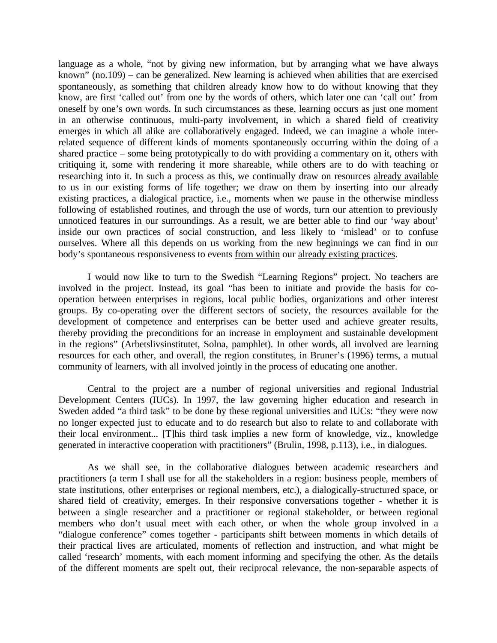language as a whole, "not by giving new information, but by arranging what we have always known" (no.109) – can be generalized. New learning is achieved when abilities that are exercised spontaneously, as something that children already know how to do without knowing that they know, are first 'called out' from one by the words of others, which later one can 'call out' from oneself by one's own words. In such circumstances as these, learning occurs as just one moment in an otherwise continuous, multi-party involvement, in which a shared field of creativity emerges in which all alike are collaboratively engaged. Indeed, we can imagine a whole interrelated sequence of different kinds of moments spontaneously occurring within the doing of a shared practice – some being prototypically to do with providing a commentary on it, others with critiquing it, some with rendering it more shareable, while others are to do with teaching or researching into it. In such a process as this, we continually draw on resources already available to us in our existing forms of life together; we draw on them by inserting into our already existing practices, a dialogical practice, i.e., moments when we pause in the otherwise mindless following of established routines, and through the use of words, turn our attention to previously unnoticed features in our surroundings. As a result, we are better able to find our 'way about' inside our own practices of social construction, and less likely to 'mislead' or to confuse ourselves. Where all this depends on us working from the new beginnings we can find in our body's spontaneous responsiveness to events from within our already existing practices.

I would now like to turn to the Swedish "Learning Regions" project. No teachers are involved in the project. Instead, its goal "has been to initiate and provide the basis for cooperation between enterprises in regions, local public bodies, organizations and other interest groups. By co-operating over the different sectors of society, the resources available for the development of competence and enterprises can be better used and achieve greater results, thereby providing the preconditions for an increase in employment and sustainable development in the regions" (Arbetslivsinstitutet, Solna, pamphlet). In other words, all involved are learning resources for each other, and overall, the region constitutes, in Bruner's (1996) terms, a mutual community of learners, with all involved jointly in the process of educating one another.

Central to the project are a number of regional universities and regional Industrial Development Centers (IUCs). In 1997, the law governing higher education and research in Sweden added "a third task" to be done by these regional universities and IUCs: "they were now no longer expected just to educate and to do research but also to relate to and collaborate with their local environment... [T]his third task implies a new form of knowledge, viz., knowledge generated in interactive cooperation with practitioners" (Brulin, 1998, p.113), i.e., in dialogues.

As we shall see, in the collaborative dialogues between academic researchers and practitioners (a term I shall use for all the stakeholders in a region: business people, members of state institutions, other enterprises or regional members, etc.), a dialogically-structured space, or shared field of creativity, emerges. In their responsive conversations together - whether it is between a single researcher and a practitioner or regional stakeholder, or between regional members who don't usual meet with each other, or when the whole group involved in a "dialogue conference" comes together - participants shift between moments in which details of their practical lives are articulated, moments of reflection and instruction, and what might be called 'research' moments, with each moment informing and specifying the other. As the details of the different moments are spelt out, their reciprocal relevance, the non-separable aspects of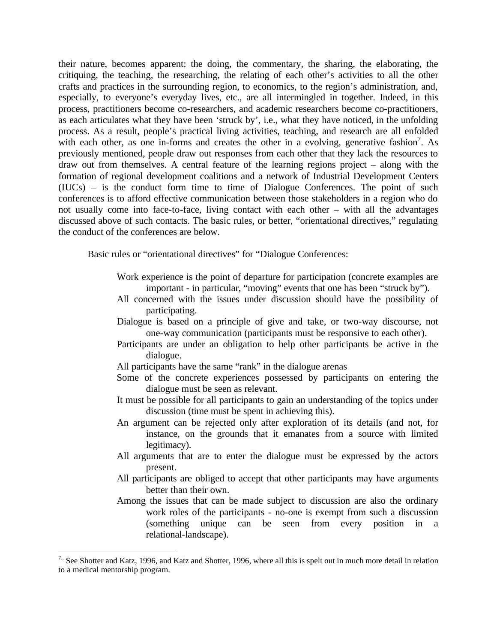their nature, becomes apparent: the doing, the commentary, the sharing, the elaborating, the critiquing, the teaching, the researching, the relating of each other's activities to all the other crafts and practices in the surrounding region, to economics, to the region's administration, and, especially, to everyone's everyday lives, etc., are all intermingled in together. Indeed, in this process, practitioners become co-researchers, and academic researchers become co-practitioners, as each articulates what they have been 'struck by', i.e., what they have noticed, in the unfolding process. As a result, people's practical living activities, teaching, and research are all enfolded with each other, as one in-forms and creates the other in a evolving, generative fashion<sup>7</sup>. As previously mentioned, people draw out responses from each other that they lack the resources to draw out from themselves. A central feature of the learning regions project – along with the formation of regional development coalitions and a network of Industrial Development Centers (IUCs) – is the conduct form time to time of Dialogue Conferences. The point of such conferences is to afford effective communication between those stakeholders in a region who do not usually come into face-to-face, living contact with each other – with all the advantages discussed above of such contacts. The basic rules, or better, "orientational directives," regulating the conduct of the conferences are below.

Basic rules or "orientational directives" for "Dialogue Conferences:

- Work experience is the point of departure for participation (concrete examples are important - in particular, "moving" events that one has been "struck by").
- All concerned with the issues under discussion should have the possibility of participating.
- Dialogue is based on a principle of give and take, or two-way discourse, not one-way communication (participants must be responsive to each other).
- Participants are under an obligation to help other participants be active in the dialogue.
- All participants have the same "rank" in the dialogue arenas
- Some of the concrete experiences possessed by participants on entering the dialogue must be seen as relevant.
- It must be possible for all participants to gain an understanding of the topics under discussion (time must be spent in achieving this).
- An argument can be rejected only after exploration of its details (and not, for instance, on the grounds that it emanates from a source with limited legitimacy).
- All arguments that are to enter the dialogue must be expressed by the actors present.
- All participants are obliged to accept that other participants may have arguments better than their own.
- Among the issues that can be made subject to discussion are also the ordinary work roles of the participants - no-one is exempt from such a discussion (something unique can be seen from every position in a relational-landscape).

 $\overline{a}$ 

 $7<sup>1</sup>$  See Shotter and Katz, 1996, and Katz and Shotter, 1996, where all this is spelt out in much more detail in relation to a medical mentorship program.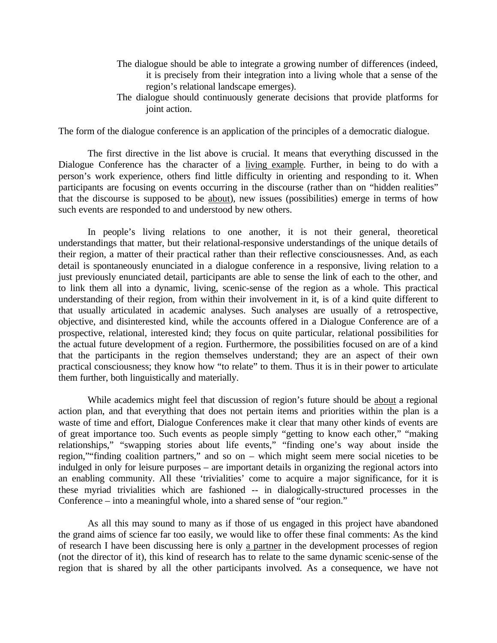- The dialogue should be able to integrate a growing number of differences (indeed, it is precisely from their integration into a living whole that a sense of the region's relational landscape emerges).
- The dialogue should continuously generate decisions that provide platforms for joint action.

The form of the dialogue conference is an application of the principles of a democratic dialogue.

The first directive in the list above is crucial. It means that everything discussed in the Dialogue Conference has the character of a living example. Further, in being to do with a person's work experience, others find little difficulty in orienting and responding to it. When participants are focusing on events occurring in the discourse (rather than on "hidden realities" that the discourse is supposed to be about), new issues (possibilities) emerge in terms of how such events are responded to and understood by new others.

In people's living relations to one another, it is not their general, theoretical understandings that matter, but their relational-responsive understandings of the unique details of their region, a matter of their practical rather than their reflective consciousnesses. And, as each detail is spontaneously enunciated in a dialogue conference in a responsive, living relation to a just previously enunciated detail, participants are able to sense the link of each to the other, and to link them all into a dynamic, living, scenic-sense of the region as a whole. This practical understanding of their region, from within their involvement in it, is of a kind quite different to that usually articulated in academic analyses. Such analyses are usually of a retrospective, objective, and disinterested kind, while the accounts offered in a Dialogue Conference are of a prospective, relational, interested kind; they focus on quite particular, relational possibilities for the actual future development of a region. Furthermore, the possibilities focused on are of a kind that the participants in the region themselves understand; they are an aspect of their own practical consciousness; they know how "to relate" to them. Thus it is in their power to articulate them further, both linguistically and materially.

While academics might feel that discussion of region's future should be about a regional action plan, and that everything that does not pertain items and priorities within the plan is a waste of time and effort, Dialogue Conferences make it clear that many other kinds of events are of great importance too. Such events as people simply "getting to know each other," "making relationships," "swapping stories about life events," "finding one's way about inside the region,""finding coalition partners," and so on – which might seem mere social niceties to be indulged in only for leisure purposes – are important details in organizing the regional actors into an enabling community. All these 'trivialities' come to acquire a major significance, for it is these myriad trivialities which are fashioned -- in dialogically-structured processes in the Conference – into a meaningful whole, into a shared sense of "our region."

As all this may sound to many as if those of us engaged in this project have abandoned the grand aims of science far too easily, we would like to offer these final comments: As the kind of research I have been discussing here is only a partner in the development processes of region (not the director of it), this kind of research has to relate to the same dynamic scenic-sense of the region that is shared by all the other participants involved. As a consequence, we have not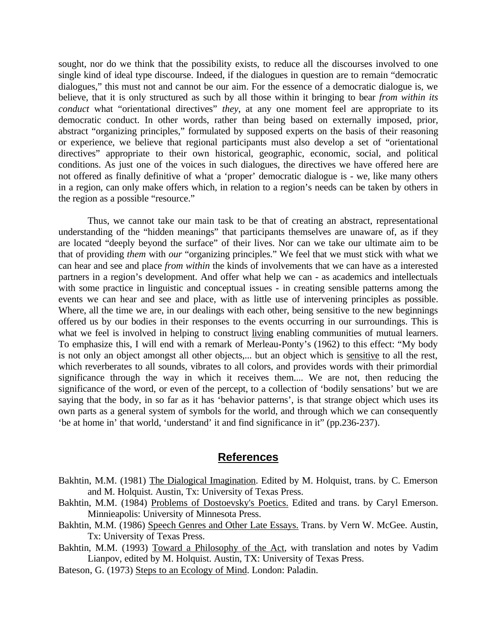sought, nor do we think that the possibility exists, to reduce all the discourses involved to one single kind of ideal type discourse. Indeed, if the dialogues in question are to remain "democratic dialogues," this must not and cannot be our aim. For the essence of a democratic dialogue is, we believe, that it is only structured as such by all those within it bringing to bear *from within its conduct* what "orientational directives" *they*, at any one moment feel are appropriate to its democratic conduct. In other words, rather than being based on externally imposed, prior, abstract "organizing principles," formulated by supposed experts on the basis of their reasoning or experience, we believe that regional participants must also develop a set of "orientational directives" appropriate to their own historical, geographic, economic, social, and political conditions. As just one of the voices in such dialogues, the directives we have offered here are not offered as finally definitive of what a 'proper' democratic dialogue is - we, like many others in a region, can only make offers which, in relation to a region's needs can be taken by others in the region as a possible "resource."

Thus, we cannot take our main task to be that of creating an abstract, representational understanding of the "hidden meanings" that participants themselves are unaware of, as if they are located "deeply beyond the surface" of their lives. Nor can we take our ultimate aim to be that of providing *them* with *our* "organizing principles." We feel that we must stick with what we can hear and see and place *from within* the kinds of involvements that we can have as a interested partners in a region's development. And offer what help we can - as academics and intellectuals with some practice in linguistic and conceptual issues - in creating sensible patterns among the events we can hear and see and place, with as little use of intervening principles as possible. Where, all the time we are, in our dealings with each other, being sensitive to the new beginnings offered us by our bodies in their responses to the events occurring in our surroundings. This is what we feel is involved in helping to construct living enabling communities of mutual learners. To emphasize this, I will end with a remark of Merleau-Ponty's (1962) to this effect: "My body is not only an object amongst all other objects,... but an object which is sensitive to all the rest, which reverberates to all sounds, vibrates to all colors, and provides words with their primordial significance through the way in which it receives them.... We are not, then reducing the significance of the word, or even of the percept, to a collection of 'bodily sensations' but we are saying that the body, in so far as it has 'behavior patterns', is that strange object which uses its own parts as a general system of symbols for the world, and through which we can consequently 'be at home in' that world, 'understand' it and find significance in it" (pp.236-237).

#### **References**

- Bakhtin, M.M. (1981) The Dialogical Imagination. Edited by M. Holquist, trans. by C. Emerson and M. Holquist. Austin, Tx: University of Texas Press.
- Bakhtin, M.M. (1984) Problems of Dostoevsky's Poetics. Edited and trans. by Caryl Emerson. Minnieapolis: University of Minnesota Press.
- Bakhtin, M.M. (1986) Speech Genres and Other Late Essays. Trans. by Vern W. McGee. Austin, Tx: University of Texas Press.
- Bakhtin, M.M. (1993) Toward a Philosophy of the Act, with translation and notes by Vadim Lianpov, edited by M. Holquist. Austin, TX: University of Texas Press.
- Bateson, G. (1973) Steps to an Ecology of Mind. London: Paladin.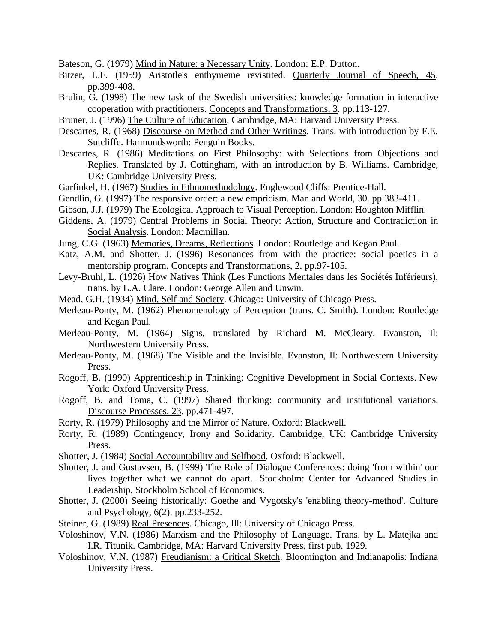Bateson, G. (1979) Mind in Nature: a Necessary Unity. London: E.P. Dutton.

- Bitzer, L.F. (1959) Aristotle's enthymeme revistited. Quarterly Journal of Speech, 45. pp.399-408.
- Brulin, G. (1998) The new task of the Swedish universities: knowledge formation in interactive cooperation with practitioners. Concepts and Transformations, 3. pp.113-127.
- Bruner, J. (1996) The Culture of Education. Cambridge, MA: Harvard University Press.
- Descartes, R. (1968) Discourse on Method and Other Writings. Trans. with introduction by F.E. Sutcliffe. Harmondsworth: Penguin Books.
- Descartes, R. (1986) Meditations on First Philosophy: with Selections from Objections and Replies. Translated by J. Cottingham, with an introduction by B. Williams. Cambridge, UK: Cambridge University Press.
- Garfinkel, H. (1967) Studies in Ethnomethodology. Englewood Cliffs: Prentice-Hall.
- Gendlin, G. (1997) The responsive order: a new empricism. Man and World, 30. pp.383-411.
- Gibson, J.J. (1979) The Ecological Approach to Visual Perception. London: Houghton Mifflin.
- Giddens, A. (1979) Central Problems in Social Theory: Action, Structure and Contradiction in Social Analysis. London: Macmillan.
- Jung, C.G. (1963) Memories, Dreams, Reflections. London: Routledge and Kegan Paul.
- Katz, A.M. and Shotter, J. (1996) Resonances from with the practice: social poetics in a mentorship program. Concepts and Transformations, 2. pp.97-105.
- Levy-Bruhl, L. (1926) How Natives Think (Les Functions Mentales dans les Sociétés Inférieurs), trans. by L.A. Clare. London: George Allen and Unwin.
- Mead, G.H. (1934) Mind, Self and Society. Chicago: University of Chicago Press.
- Merleau-Ponty, M. (1962) Phenomenology of Perception (trans. C. Smith). London: Routledge and Kegan Paul.
- Merleau-Ponty, M. (1964) Signs, translated by Richard M. McCleary. Evanston, II: Northwestern University Press.
- Merleau-Ponty, M. (1968) The Visible and the Invisible. Evanston, Il: Northwestern University Press.
- Rogoff, B. (1990) Apprenticeship in Thinking: Cognitive Development in Social Contexts. New York: Oxford University Press.
- Rogoff, B. and Toma, C. (1997) Shared thinking: community and institutional variations. Discourse Processes, 23. pp.471-497.
- Rorty, R. (1979) Philosophy and the Mirror of Nature. Oxford: Blackwell.
- Rorty, R. (1989) Contingency, Irony and Solidarity. Cambridge, UK: Cambridge University Press.
- Shotter, J. (1984) Social Accountability and Selfhood. Oxford: Blackwell.
- Shotter, J. and Gustavsen, B. (1999) The Role of Dialogue Conferences: doing 'from within' our lives together what we cannot do apart.. Stockholm: Center for Advanced Studies in Leadership, Stockholm School of Economics.
- Shotter, J. (2000) Seeing historically: Goethe and Vygotsky's 'enabling theory-method'. Culture and Psychology, 6(2). pp.233-252.
- Steiner, G. (1989) Real Presences. Chicago, Ill: University of Chicago Press.
- Voloshinov, V.N. (1986) Marxism and the Philosophy of Language. Trans. by L. Matejka and I.R. Titunik. Cambridge, MA: Harvard University Press, first pub. 1929.
- Voloshinov, V.N. (1987) Freudianism: a Critical Sketch. Bloomington and Indianapolis: Indiana University Press.